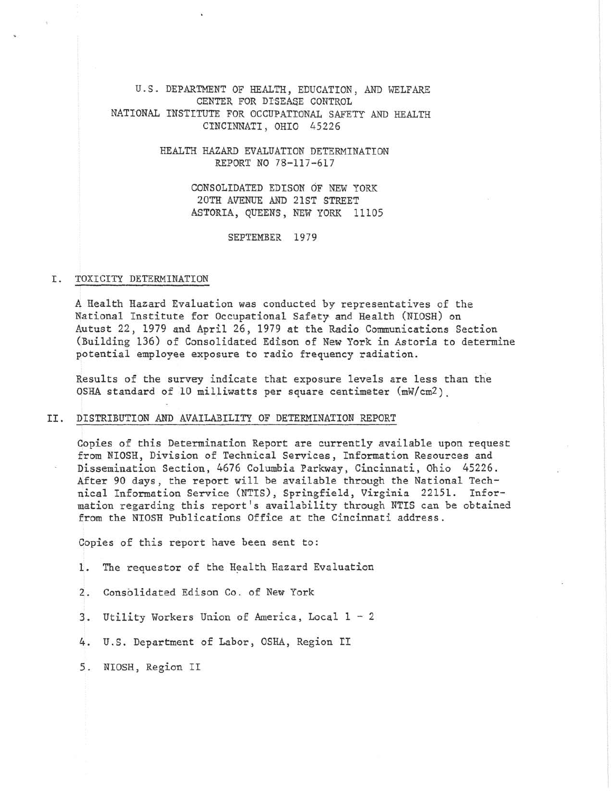U.S. DEPARTMENT OF HEALTH, EDUCATION, AND WELFARE CENTER FOR DISEASE CONTROL NATIONAL INSTITUTE FOR OCCUPATIONAL SAFETY AND HEALTH CINCINNATI, OHIO 45226

> HEALTH HAZARD EVALUATION DETERMINATION REPORT NO 78-117-617

> > CONSOLIDATED EDISON OF NEW YORK 20TH AVENUE AND 21ST STREET ASTORIA, QUEENS, NEW YORK 11105

> > > SEPTEMBER 1979

### I. TOXICITY DETERMINATION

A Health Hazard Evaluation was conducted by representatives of the National Institute for Occupational Safety and Health (NIOSH) on Autust 22, 1979 and April 26, 1979 at the Radio Communications Section (Building 136) of Consolidated Edison of New York in Astoria to determine potential employee exposure to radio frequency radiation.

Results of the survey indicate that exposure levels are less than the OSHA standard of 10 milliwatts per square centimeter (mW/cmZ).

## II. DISTRIBUTION AND AVAILABILITY OF DETERMINATION REPORT

Copies of this Determination Report are currently available upon request from NIOSH, Division of Technical Services, Information Resources and Dissemination Section, 4676 Columbia Parkway, Cincinnati, Ohio 45226 . After 90 days, the report will be available through the National Technical Information Service (NTIS), Springfield, Virginia 22151. Information regarding this report's availability through NTIS can be obtained from the NIOSH Publications Office at the Cincinnati address.

Copies of this report have been sent to:

- 1. The requestor of the Health Hazard Evaluation
- 2. Consolidated Edison Co. of New York
- 3. Utility Workers Union of America, Local 1 2
- 4. U.S. Department of Labor, OSHA, Region II
- 5 . NIOSH, Region II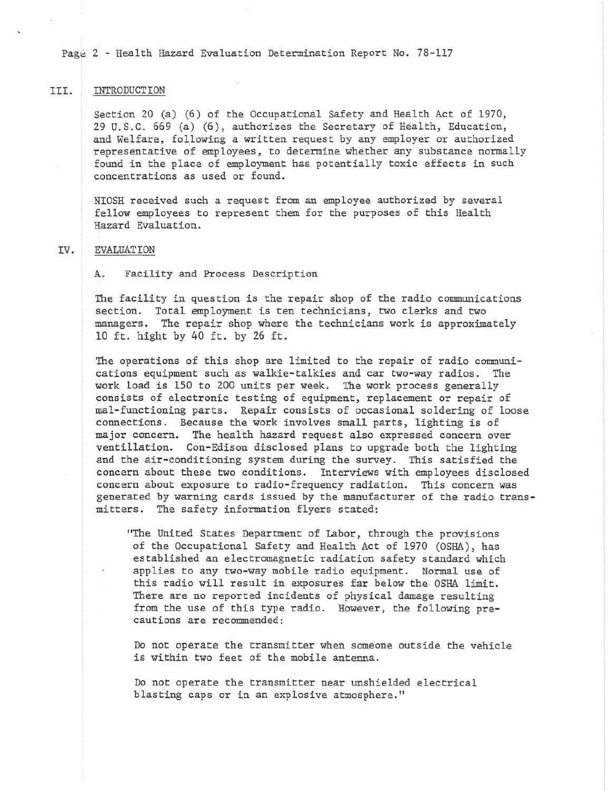Page 2 - Health Hazard Evaluation Determination Report No. 78-117

### III. INTRODUCTION

Section 20 (a) (6) of the Occupational Safety and Health Act of 1970, 29 U.S.C. 669 (a) (6) , authorizes the Secretary of Health, Education, and Welfare, following a written request by any employer or authorized representative of employees, to determine whether any substance normally found in the place of employment has potentially toxic effects in such concentrations as used or found.

NIOSH received such a request from an employee authorized by several fellow employees to represent them for the purposes of this Health Hazard Evaluation.

#### IV. EVALUATION

A. Facility and Process Description

The facility in question is the repair shop of the radio communications section. Total employment is ten technicians, two clerks and two managers. The repair shop where the technicians work is approximately 10 ft. hight by 40 ft. by 26 ft.

The operations of this shop are limited to the repair of radio communications equipment such as walkie-talkies and car two-way radios. The work load is 150 to 200 units per week. The work process generally consists of electronic testing of equipment, replacement or repair of mal-functioning parts. Repair consists of occasional soldering of loose connections. Because the work involves small parts, lighting is of major concern. The health hazard request also expressed concern over ventillation. Con-Edison disclosed plans to upgrade both the lighting and the air-conditioning system during the survey. This satisfied the concern about these two conditions. Interviews with employees disclosed concern about exposure to radio-frequency radiation. This concern was generated by warning cards issued by the manufacturer of the radio transmitters. The safety information flyers stated:

"The United States Department of Labor, through the provisions of the Occupational Safety and Health Act of 1970 (OSHA), has established an electromagnetic radiation safety standard which applies to any two-way mobile radio equipment. Normal use of this radio will result in exposures far below the OSHA limit. There are no reported incidents of physical damage resulting from the use of this type radio. However, the following precautions are recommended:

Do not operate the transmitter when someone outside the vehicle is within two feet of the mobile antenna.

Do not operate the transmitter near unshielded electrical blasting caps or in an explosive atmosphere."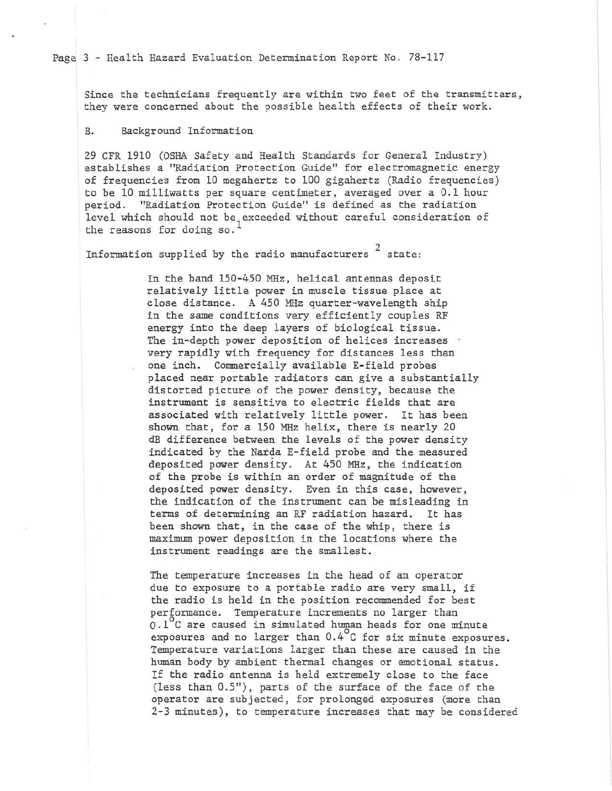Page 3 - Health Hazard Evaluation Determination Report No. 78-117

Since the technicians frequently are within two feet of the transmitters, they were concerned about the possible health effects of their work.

## B. Background Information

29 CFR 1910 (OSHA Safety and Health Standards for General Industry) establishes a "Radiation Protection Guide" for electromagnetic energy of frequencies from 10 megahertz to 100 gigahertz (Radio frequencies) to be 10 milliwatts per square centimeter, averaged over a 0. 1 hour period. "Radiation Protection Guide" is defined as the radiation level which should not be exceeded without careful consideration of the reasons for doing so.<sup>1</sup>

Information supplied by the radio manufacturers  $2$  state:

In the band 150-450 MHz, helical antennas deposit relatively little power in muscle tissue place at close distance. A 450 MHz quarter-wavelength ship in the same conditions very efficiently couples RF energy into the deep layers of biological tissue. The in-depth power deposition of helices increases very rapidly with frequency for distances less than one inch. Commercially available E-field probes placed near portable radiators can give a substantially distorted picture of the power density, because the instrument is sensitive to electric fields that are associated with relatively little power. It has been shown that, for a 150 MHz helix, there is nearly 20 dB difference between the levels of the power density indicated by the Narda E-field probe and the measured deposited power density. At 450 MHz, the indication of the probe is within an order of magnitude of the deposited power density. Even in this case, however, the indication of the instrument can be misleading in terms of determining an RF radiation hazard. It has been shown that, in the case of the whip, there is maximum power deposition in the locations where the instrument readings are the smallest.

The temperature increases in the head of an operator due to exposure to a portable radio are very small, if the radio is held in the position recommended for best performance. Temperature increments no larger than o.1°c are caused in simulated human heads for one minute exposures and no larger than 0.4°c for six minute exposures . Temperature variations larger than these are caused in the human body by ambient thermal changes or emotional status. If the radio antenna is held extremely close to the face (less than 0.5"), parts of the surface of the face of the operator are subjected, for prolonged exposures (more than 2-3 minutes), to temperature increases that may be considered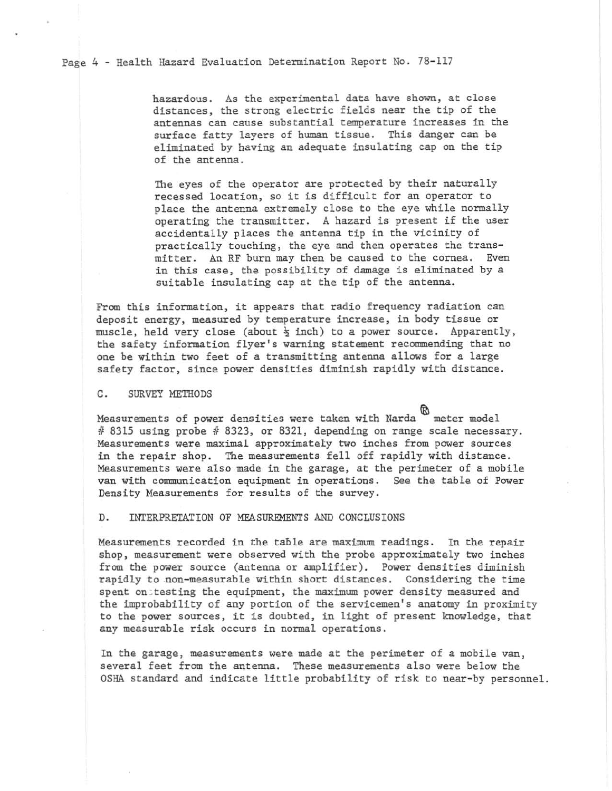Page 4 - Health Hazard Evaluation Determination Report No. 78-117

hazardous. As the experimental data have shown, at close distances, the strong electric fields near the tip of the antennas can cause substantial temperature increases in the surface fatty layers of human tissue. This danger can be eliminated by having an adequate insulating cap on the tip of the antenna.

The eyes of the operator are protected by their naturally recessed location, so it is difficult for an operator to place the antenna extremely close to the eye while normally operating the transmitter. A hazard is present if the user accidentally places the antenna tip in the vicinity of practically touching, the eye and then operates the transmitter. An RF burn may then be caused to the cornea. Even in this case, the possibility of damage is eliminated by a suitable insulating cap at the tip of the antenna.

From this information, it appears that radio frequency radiation can deposit energy, measured by temperature increase, in body tissue or muscle, held very close (about  $\frac{1}{2}$  inch) to a power source. Apparently, the safety information flyer's warning statement recommending that no one be within two feet of a transmitting antenna allows for a large safety factor, since power densities diminish rapidly with distance.

#### C. SURVEY METHODS

Measurements of power densities were taken with Narda  $~^{\circledR}$  meter model  $#$  8315 using probe  $#$  8323, or 8321, depending on range scale necessary. Measurements were maximal approximately two inches from power sources in the repair shop. The measurements fell off rapidly with distance. Measurements were also made in the garage, at the perimeter of a mobile van with communication equipment in operations. See the table of Power Density Measurements for results of the survey.

### D. INTERPRETATION OF MEASUREMENTS AND CONCLUSIONS

Measurements recorded in the table are maximum readings. In the repair shop, measurement were observed with the probe approximately two inches from the power source (antenna or amplifier). Power densities diminish rapidly to non-measurable within short distances. Considering the time spent on : testing the equipment, the maximum power density measured and the improbability of any portion of the servicemen's anatomy in proximity to the power sources, it is doubted, in light of present knowledge, that any measurable risk occurs in normal operations.

In the garage, measurements were made at the perimeter of a mobile van, several feet from the antenna. These measurements also were below the OSHA standard and indicate little probability of risk to near-by personnel.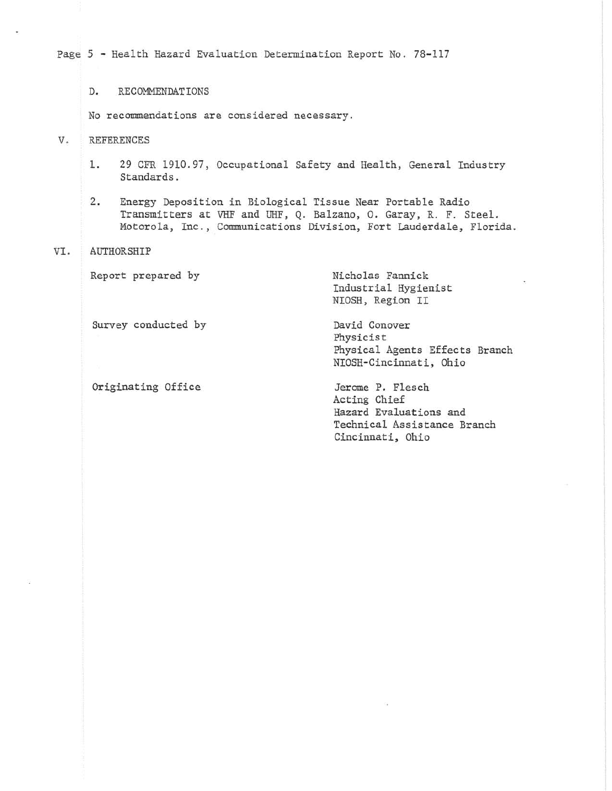Page 5 - Health Hazard Evaluation Determination Report No. 78-117

D. RECOMMENDATIONS

No recommendations are considered necessary.

V. REFERENCES

- 1. 29 CFR 1910.97, Occupational Safety and Health, General Industry Standards.
- 2. Energy Deposition in Biological Tissue Near Portable Radio Transmitters at VHF and UHF, Q. Balzano, O. Garay, R. F. Steel. Motorola, Inc., Communications Division, Fort Lauderdale, Florida.

### VI. AUTHORSHIP

Report prepared by **Nicholas Fannick** 

Industrial Hygienist NIOSH, Region II

Physicist

Survey conducted by **David Conover** 

Originating Office **State Search** Jerome P. Flesch

Physical Agents Effects Branch NIOSH-Cincinnati, Ohio

Acting Chief Hazard Evaluations and Technical Assistance Branch Cincinnati, Ohio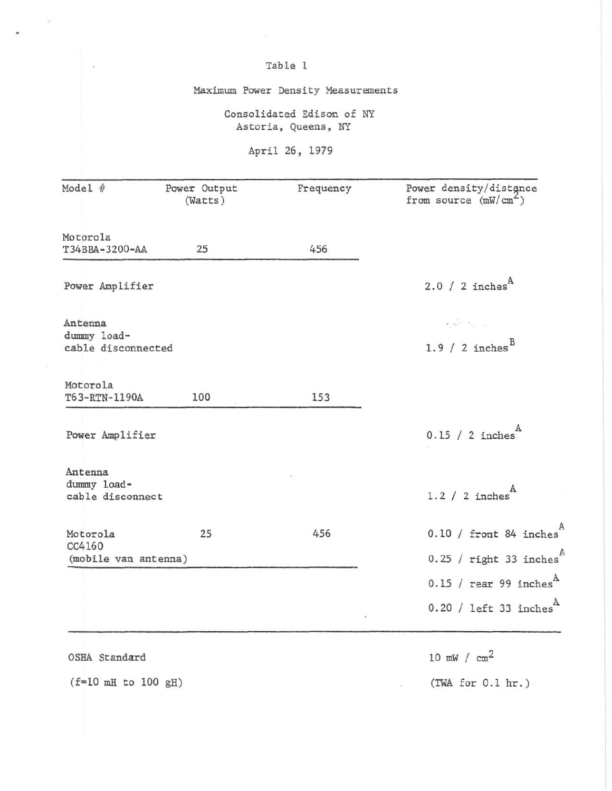# Table 1

Maximum Power Density Measurements

Consolidated Edison of NY Astoria, Queens, NY

April 26, 1979

| Model #                                    | Power Output<br>(Watts) | Frequency | Power density/distance<br>from source $(mW/cm2)$ |
|--------------------------------------------|-------------------------|-----------|--------------------------------------------------|
| Motorola                                   |                         |           |                                                  |
| T34BBA-3200-AA                             | 25                      | 456       |                                                  |
| Power Amplifier                            |                         |           | 2.0 / 2 inches <sup>A</sup>                      |
| Antenna                                    |                         |           | المالي المسترد الأنباء                           |
| dummy load-<br>cable disconnected          |                         |           | 1.9 / 2 inches $B$                               |
| Motorola<br>T63-RTN-1190A                  | 100                     | 153       |                                                  |
| Power Amplifier                            |                         |           | $0.15 / 2$ inches <sup>A</sup>                   |
| Antenna<br>dummy load-<br>cable disconnect |                         |           | $1.2 / 2$ inches                                 |
| Motorola<br>CC4160                         | 25                      | 456       | $0.10 /$ front 84 inches                         |
| (mobile van antenna)                       |                         |           | $0.25$ / right 33 inches                         |
|                                            |                         |           | $0.15$ / rear 99 inches <sup>A</sup>             |
|                                            |                         |           | $0.20 /$ left 33 inches <sup>A</sup>             |
| OSHA Standard                              |                         |           | 10 mW / $cm2$                                    |
| $(f=10 mH to 100 gH)$                      |                         |           | (TWA for 0.1 hr.)                                |

 $\omega$ 

 $\hat{\mathbf{u}}$